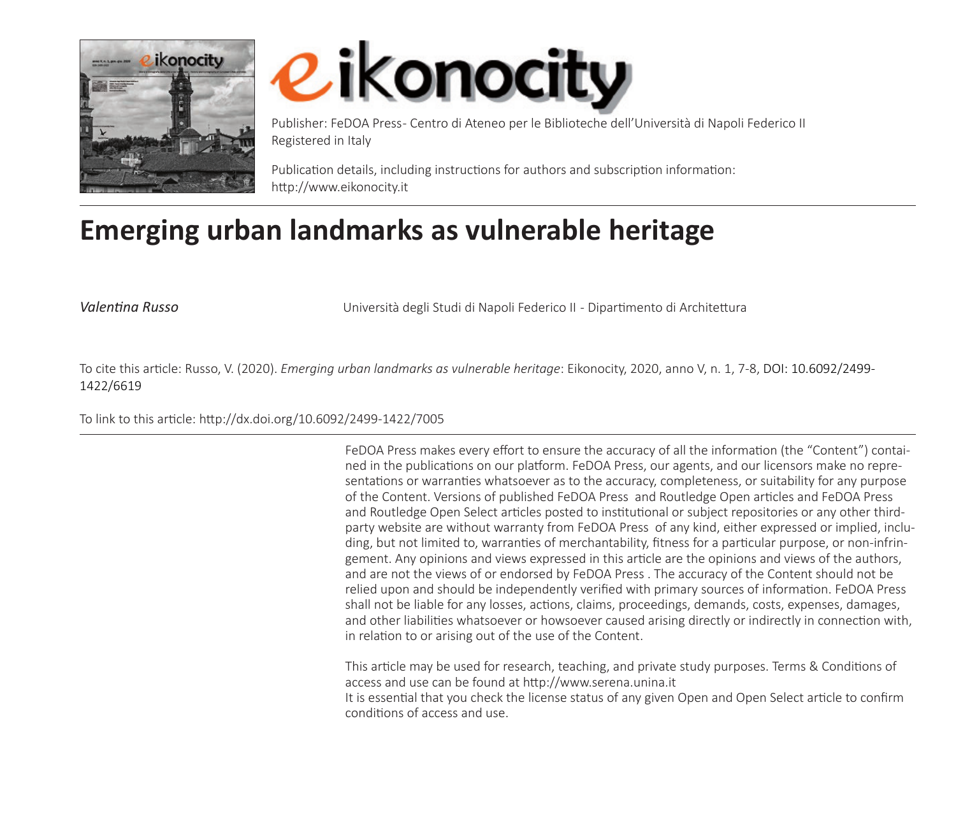



Publisher: FeDOA Press- Centro di Ateneo per le Biblioteche dell'Università di Napoli Federico II Registered in Italy

Publication details, including instructions for authors and subscription information: http://www.eikonocity.it

## **Emerging urban landmarks as vulnerable heritage**

*Valentina Russo* Università degli Studi di Napoli Federico II - Dipartimento di Architettura

To cite this article: Russo, V. (2020). *Emerging urban landmarks as vulnerable heritage*: Eikonocity, 2020, anno V, n. 1, 7-8, DOI: 10.6092/2499- 1422/6619

To link to this article: http://dx.doi.org/10.6092/2499-1422/7005

FeDOA Press makes every effort to ensure the accuracy of all the information (the "Content") contained in the publications on our platform. FeDOA Press, our agents, and our licensors make no representations or warranties whatsoever as to the accuracy, completeness, or suitability for any purpose of the Content. Versions of published FeDOA Press and Routledge Open articles and FeDOA Press and Routledge Open Select articles posted to institutional or subject repositories or any other thirdparty website are without warranty from FeDOA Press of any kind, either expressed or implied, including, but not limited to, warranties of merchantability, fitness for a particular purpose, or non-infringement. Any opinions and views expressed in this article are the opinions and views of the authors, and are not the views of or endorsed by FeDOA Press . The accuracy of the Content should not be relied upon and should be independently verified with primary sources of information. FeDOA Press shall not be liable for any losses, actions, claims, proceedings, demands, costs, expenses, damages, and other liabilities whatsoever or howsoever caused arising directly or indirectly in connection with, in relation to or arising out of the use of the Content.

This article may be used for research, teaching, and private study purposes. Terms & Conditions of access and use can be found at http://www.serena.unina.it It is essential that you check the license status of any given Open and Open Select article to confirm conditions of access and use.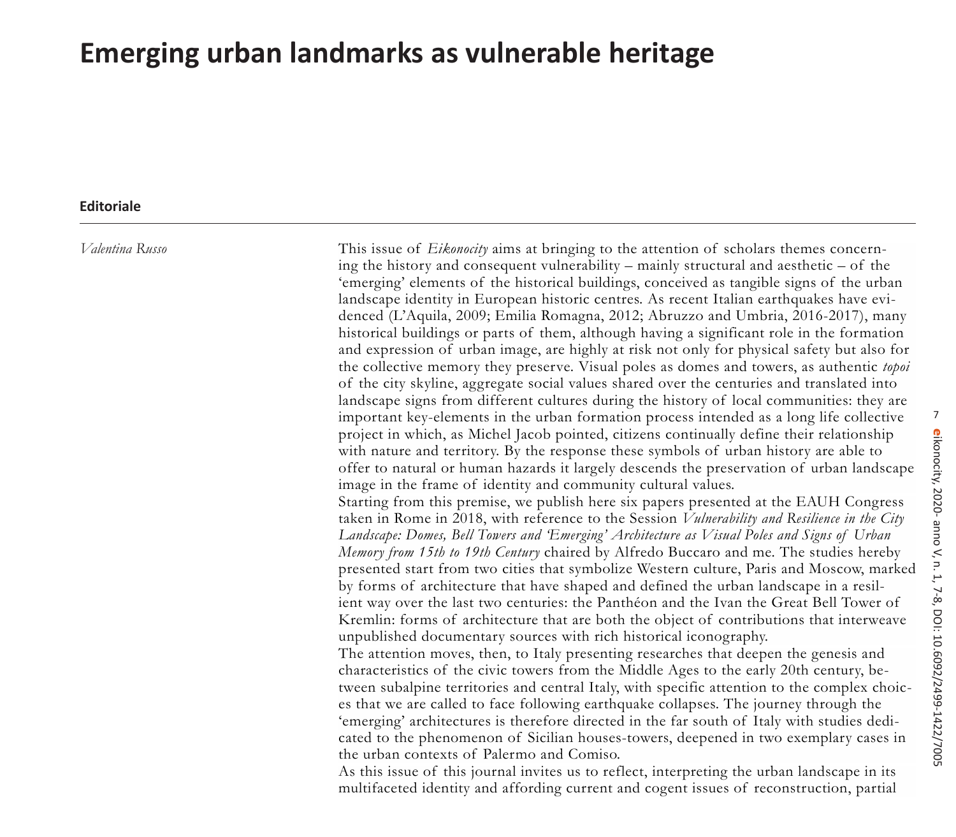## **Emerging urban landmarks as vulnerable heritage**

## **Editoriale**

*Valentina Russo*

This issue of *Eikonocity* aims at bringing to the attention of scholars themes concerning the history and consequent vulnerability – mainly structural and aesthetic – of the 'emerging' elements of the historical buildings, conceived as tangible signs of the urban landscape identity in European historic centres. As recent Italian earthquakes have evidenced (L'Aquila, 2009; Emilia Romagna, 2012; Abruzzo and Umbria, 2016-2017), many historical buildings or parts of them, although having a significant role in the formation and expression of urban image, are highly at risk not only for physical safety but also for the collective memory they preserve. Visual poles as domes and towers, as authentic *topoi* of the city skyline, aggregate social values shared over the centuries and translated into landscape signs from different cultures during the history of local communities: they are important key-elements in the urban formation process intended as a long life collective project in which, as Michel Jacob pointed, citizens continually define their relationship with nature and territory. By the response these symbols of urban history are able to offer to natural or human hazards it largely descends the preservation of urban landscape image in the frame of identity and community cultural values. Starting from this premise, we publish here six papers presented at the EAUH Congress

taken in Rome in 2018, with reference to the Session *Vulnerability and Resilience in the City Landscape: Domes, Bell Towers and 'Emerging' Architecture as Visual Poles and Signs of Urban Memory from 15th to 19th Century* chaired by Alfredo Buccaro and me. The studies hereby presented start from two cities that symbolize Western culture, Paris and Moscow, marked by forms of architecture that have shaped and defined the urban landscape in a resilient way over the last two centuries: the Panthéon and the Ivan the Great Bell Tower of Kremlin: forms of architecture that are both the object of contributions that interweave unpublished documentary sources with rich historical iconography.

The attention moves, then, to Italy presenting researches that deepen the genesis and characteristics of the civic towers from the Middle Ages to the early 20th century, between subalpine territories and central Italy, with specific attention to the complex choices that we are called to face following earthquake collapses. The journey through the 'emerging' architectures is therefore directed in the far south of Italy with studies dedicated to the phenomenon of Sicilian houses-towers, deepened in two exemplary cases in the urban contexts of Palermo and Comiso.

As this issue of this journal invites us to reflect, interpreting the urban landscape in its multifaceted identity and affording current and cogent issues of reconstruction, partial